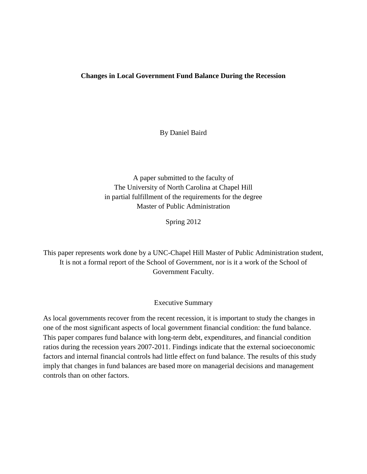#### **Changes in Local Government Fund Balance During the Recession**

By Daniel Baird

A paper submitted to the faculty of The University of North Carolina at Chapel Hill in partial fulfillment of the requirements for the degree Master of Public Administration

Spring 2012

This paper represents work done by a UNC-Chapel Hill Master of Public Administration student, It is not a formal report of the School of Government, nor is it a work of the School of Government Faculty.

#### Executive Summary

As local governments recover from the recent recession, it is important to study the changes in one of the most significant aspects of local government financial condition: the fund balance. This paper compares fund balance with long-term debt, expenditures, and financial condition ratios during the recession years 2007-2011. Findings indicate that the external socioeconomic factors and internal financial controls had little effect on fund balance. The results of this study imply that changes in fund balances are based more on managerial decisions and management controls than on other factors.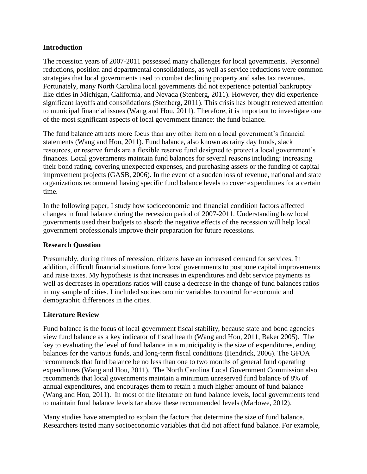#### **Introduction**

The recession years of 2007-2011 possessed many challenges for local governments. Personnel reductions, position and departmental consolidations, as well as service reductions were common strategies that local governments used to combat declining property and sales tax revenues. Fortunately, many North Carolina local governments did not experience potential bankruptcy like cities in Michigan, California, and Nevada (Stenberg, 2011). However, they did experience significant layoffs and consolidations (Stenberg, 2011). This crisis has brought renewed attention to municipal financial issues (Wang and Hou, 2011). Therefore, it is important to investigate one of the most significant aspects of local government finance: the fund balance.

The fund balance attracts more focus than any other item on a local government's financial statements (Wang and Hou, 2011). Fund balance, also known as rainy day funds, slack resources, or reserve funds are a flexible reserve fund designed to protect a local government's finances. Local governments maintain fund balances for several reasons including: increasing their bond rating, covering unexpected expenses, and purchasing assets or the funding of capital improvement projects (GASB, 2006). In the event of a sudden loss of revenue, national and state organizations recommend having specific fund balance levels to cover expenditures for a certain time.

In the following paper, I study how socioeconomic and financial condition factors affected changes in fund balance during the recession period of 2007-2011. Understanding how local governments used their budgets to absorb the negative effects of the recession will help local government professionals improve their preparation for future recessions.

## **Research Question**

Presumably, during times of recession, citizens have an increased demand for services. In addition, difficult financial situations force local governments to postpone capital improvements and raise taxes. My hypothesis is that increases in expenditures and debt service payments as well as decreases in operations ratios will cause a decrease in the change of fund balances ratios in my sample of cities. I included socioeconomic variables to control for economic and demographic differences in the cities.

## **Literature Review**

Fund balance is the focus of local government fiscal stability, because state and bond agencies view fund balance as a key indicator of fiscal health (Wang and Hou, 2011, Baker 2005). The key to evaluating the level of fund balance in a municipality is the size of expenditures, ending balances for the various funds, and long-term fiscal conditions (Hendrick, 2006). The GFOA recommends that fund balance be no less than one to two months of general fund operating expenditures (Wang and Hou, 2011). The North Carolina Local Government Commission also recommends that local governments maintain a minimum unreserved fund balance of 8% of annual expenditures, and encourages them to retain a much higher amount of fund balance (Wang and Hou, 2011). In most of the literature on fund balance levels, local governments tend to maintain fund balance levels far above these recommended levels (Marlowe, 2012).

Many studies have attempted to explain the factors that determine the size of fund balance. Researchers tested many socioeconomic variables that did not affect fund balance. For example,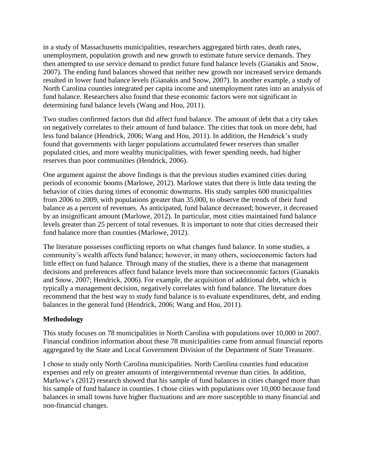in a study of Massachusetts municipalities, researchers aggregated birth rates, death rates, unemployment, population growth and new growth to estimate future service demands. They then attempted to use service demand to predict future fund balance levels (Gianakis and Snow, 2007). The ending fund balances showed that neither new growth nor increased service demands resulted in lower fund balance levels (Gianakis and Snow, 2007). In another example, a study of North Carolina counties integrated per capita income and unemployment rates into an analysis of fund balance. Researchers also found that these economic factors were not significant in determining fund balance levels (Wang and Hou, 2011).

Two studies confirmed factors that did affect fund balance. The amount of debt that a city takes on negatively correlates to their amount of fund balance. The cities that took on more debt, had less fund balance (Hendrick, 2006; Wang and Hou, 2011). In addition, the Hendrick's study found that governments with larger populations accumulated fewer reserves than smaller populated cities, and more wealthy municipalities, with fewer spending needs, had higher reserves than poor communities (Hendrick, 2006).

One argument against the above findings is that the previous studies examined cities during periods of economic booms (Marlowe, 2012). Marlowe states that there is little data testing the behavior of cities during times of economic downturns. His study samples 600 municipalities from 2006 to 2009, with populations greater than 35,000, to observe the trends of their fund balance as a percent of revenues. As anticipated, fund balance decreased; however, it decreased by an insignificant amount (Marlowe, 2012). In particular, most cities maintained fund balance levels greater than 25 percent of total revenues. It is important to note that cities decreased their fund balance more than counties (Marlowe, 2012).

The literature possesses conflicting reports on what changes fund balance. In some studies, a community's wealth affects fund balance; however, in many others, socioeconomic factors had little effect on fund balance. Through many of the studies, there is a theme that management decisions and preferences affect fund balance levels more than socioeconomic factors (Gianakis and Snow, 2007; Hendrick, 2006). For example, the acquisition of additional debt, which is typically a management decision, negatively correlates with fund balance. The literature does recommend that the best way to study fund balance is to evaluate expenditures, debt, and ending balances in the general fund (Hendrick, 2006; Wang and Hou, 2011).

## **Methodology**

This study focuses on 78 municipalities in North Carolina with populations over 10,000 in 2007. Financial condition information about these 78 municipalities came from annual financial reports aggregated by the State and Local Government Division of the Department of State Treasurer.

I chose to study only North Carolina municipalities. North Carolina counties fund education expenses and rely on greater amounts of intergovernmental revenue than cities. In addition, Marlowe's (2012) research showed that his sample of fund balances in cities changed more than his sample of fund balance in counties. I chose cities with populations over 10,000 because fund balances in small towns have higher fluctuations and are more susceptible to many financial and non-financial changes.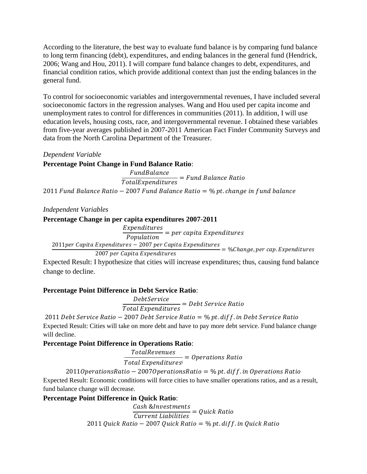According to the literature, the best way to evaluate fund balance is by comparing fund balance to long term financing (debt), expenditures, and ending balances in the general fund (Hendrick, 2006; Wang and Hou, 2011). I will compare fund balance changes to debt, expenditures, and financial condition ratios, which provide additional context than just the ending balances in the general fund.

To control for socioeconomic variables and intergovernmental revenues, I have included several socioeconomic factors in the regression analyses. Wang and Hou used per capita income and unemployment rates to control for differences in communities (2011). In addition, I will use education levels, housing costs, race, and intergovernmental revenue. I obtained these variables from five-year averages published in 2007-2011 American Fact Finder Community Surveys and data from the North Carolina Department of the Treasurer.

#### *Dependent Variable*

## **Percentage Point Change in Fund Balance Ratio**:

F  $\overline{T}$ 2011 Fund Balance Ratio - 2007 Fund Balance Ratio =  $\%$  pt. change in fund balance

*Independent Variables*

#### **Percentage Change in per capita expenditures 2007-2011**

E  $\overline{P}$ 2011 per Capita Expenditures - 2007 per Capita Expenditures  $=$  %Change, per cap. Expenditures 2007 per Capita Expenditures

Expected Result: I hypothesize that cities will increase expenditures; thus, causing fund balance change to decline.

## **Percentage Point Difference in Debt Service Ratio**:

D  $\overline{T}$ 

2011 Debt Service Ratio - 2007 Debt Service Ratio =  $%$  pt. diff. in Debt Service Ratio Expected Result: Cities will take on more debt and have to pay more debt service. Fund balance change will decline.

## **Percentage Point Difference in Operations Ratio**:

 $\overline{T}$ 

Total Expenditures<sup>i</sup>  $=$ 

 $20110$  perations Ratio - 2007 O perations Ratio = % pt. diff. in O perations Ratio

Expected Result: Economic conditions will force cities to have smaller operations ratios, and as a result, fund balance change will decrease.

## **Percentage Point Difference in Quick Ratio**:

 $\mathcal C$  $\mathcal{C}_{0}^{2}$ 2011 Quick Ratio - 2007 Quick Ratio = % pt. diff. in Quick Ratio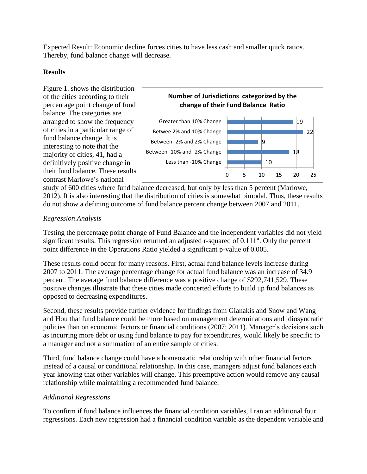Expected Result: Economic decline forces cities to have less cash and smaller quick ratios. Thereby, fund balance change will decrease.

## **Results**

Figure 1. shows the distribution of the cities according to their percentage point change of fund balance. The categories are arranged to show the frequency of cities in a particular range of fund balance change. It is interesting to note that the majority of cities, 41, had a definitively positive change in their fund balance. These results contrast Marlowe's national



study of 600 cities where fund balance decreased, but only by less than 5 percent (Marlowe, 2012). It is also interesting that the distribution of cities is somewhat bimodal. Thus, these results do not show a defining outcome of fund balance percent change between 2007 and 2011.

# *Regression Analysis*

Testing the percentage point change of Fund Balance and the independent variables did not yield significant results. This regression returned an adjusted r-squared of  $0.111^{\text{ii}}$ . Only the percent point difference in the Operations Ratio yielded a significant p-value of 0.005.

These results could occur for many reasons. First, actual fund balance levels increase during 2007 to 2011. The average percentage change for actual fund balance was an increase of 34.9 percent. The average fund balance difference was a positive change of \$292,741,529. These positive changes illustrate that these cities made concerted efforts to build up fund balances as opposed to decreasing expenditures.

Second, these results provide further evidence for findings from Gianakis and Snow and Wang and Hou that fund balance could be more based on management determinations and idiosyncratic policies than on economic factors or financial conditions (2007; 2011). Manager's decisions such as incurring more debt or using fund balance to pay for expenditures, would likely be specific to a manager and not a summation of an entire sample of cities.

Third, fund balance change could have a homeostatic relationship with other financial factors instead of a causal or conditional relationship. In this case, managers adjust fund balances each year knowing that other variables will change. This preemptive action would remove any causal relationship while maintaining a recommended fund balance.

# *Additional Regressions*

To confirm if fund balance influences the financial condition variables, I ran an additional four regressions. Each new regression had a financial condition variable as the dependent variable and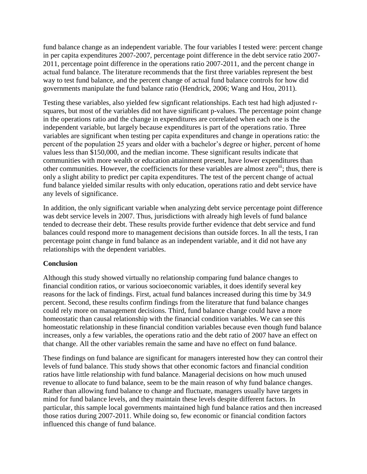fund balance change as an independent variable. The four variables I tested were: percent change in per capita expenditures 2007-2007, percentage point difference in the debt service ratio 2007- 2011, percentage point difference in the operations ratio 2007-2011, and the percent change in actual fund balance. The literature recommends that the first three variables represent the best way to test fund balance, and the percent change of actual fund balance controls for how did governments manipulate the fund balance ratio (Hendrick, 2006; Wang and Hou, 2011).

Testing these variables, also yielded few signficant relationships. Each test had high adjusted rsquares, but most of the variables did not have significant p-values. The percentage point change in the operations ratio and the change in expenditures are correlated when each one is the independent variable, but largely because expenditures is part of the operations ratio. Three variables are significant when testing per capita expenditures and change in operations ratio: the percent of the population 25 years and older with a bachelor's degree or higher, percent of home values less than \$150,000, and the median income. These significant results indicate that communities with more wealth or education attainment present, have lower expenditures than other communities. However, the coefficiencts for these variables are almost zero<sup>iii</sup>; thus, there is only a slight ability to predict per capita expenditures. The test of the percent change of actual fund balance yielded similar results with only education, operations ratio and debt service have any levels of significance.

In addition, the only significant variable when analyzing debt service percentage point difference was debt service levels in 2007. Thus, jurisdictions with already high levels of fund balance tended to decrease their debt. These results provide further evidence that debt service and fund balances could respond more to management decisions than outside forces. In all the tests, I ran percentage point change in fund balance as an independent variable, and it did not have any relationships with the dependent variables.

#### **Conclusion**

Although this study showed virtually no relationship comparing fund balance changes to financial condition ratios, or various socioeconomic variables, it does identify several key reasons for the lack of findings. First, actual fund balances increased during this time by 34.9 percent. Second, these results confirm findings from the literature that fund balance changes could rely more on management decisions. Third, fund balance change could have a more homeostatic than causal relationship with the financial condition variables. We can see this homeostatic relationship in these financial condition variables because even though fund balance increases, only a few variables, the operations ratio and the debt ratio of 2007 have an effect on that change. All the other variables remain the same and have no effect on fund balance.

These findings on fund balance are significant for managers interested how they can control their levels of fund balance. This study shows that other economic factors and financial condition ratios have little relationship with fund balance. Managerial decisions on how much unused revenue to allocate to fund balance, seem to be the main reason of why fund balance changes. Rather than allowing fund balance to change and fluctuate, managers usually have targets in mind for fund balance levels, and they maintain these levels despite different factors. In particular, this sample local governments maintained high fund balance ratios and then increased those ratios during 2007-2011. While doing so, few economic or financial condition factors influenced this change of fund balance.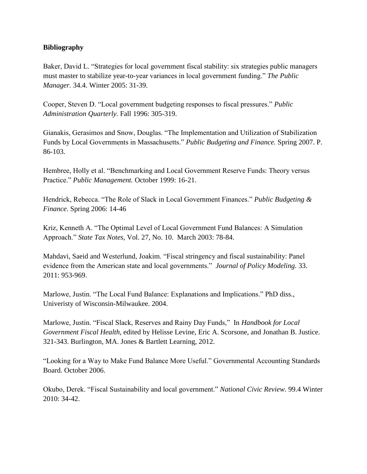## **Bibliography**

Baker, David L. "Strategies for local government fiscal stability: six strategies public managers must master to stabilize year-to-year variances in local government funding." *The Public Manager.* 34.4. Winter 2005: 31-39.

Cooper, Steven D. "Local government budgeting responses to fiscal pressures." *Public Administration Quarterly.* Fall 1996: 305-319.

Gianakis, Gerasimos and Snow, Douglas. "The Implementation and Utilization of Stabilization Funds by Local Governments in Massachusetts." *Public Budgeting and Finance.* Spring 2007. P. 86-103.

Hembree, Holly et al. "Benchmarking and Local Government Reserve Funds: Theory versus Practice." *Public Management.* October 1999: 16-21.

Hendrick, Rebecca. "The Role of Slack in Local Government Finances." *Public Budgeting & Finance*. Spring 2006: 14-46

Kriz, Kenneth A. "The Optimal Level of Local Government Fund Balances: A Simulation Approach." *State Tax Notes,* Vol. 27, No. 10. March 2003: 78-84.

Mahdavi, Saeid and Westerlund, Joakim. "Fiscal stringency and fiscal sustainability: Panel evidence from the American state and local governments." *Journal of Policy Modeling.* 33. 2011: 953-969.

Marlowe, Justin. "The Local Fund Balance: Explanations and Implications." PhD diss., Univeristy of Wisconsin-Milwaukee. 2004.

Marlowe, Justin. "Fiscal Slack, Reserves and Rainy Day Funds," In *Handbook for Local Government Fiscal Health*, edited by Helisse Levine, Eric A. Scorsone, and Jonathan B. Justice. 321-343. Burlington, MA. Jones & Bartlett Learning, 2012.

"Looking for a Way to Make Fund Balance More Useful." Governmental Accounting Standards Board. October 2006.

Okubo, Derek. "Fiscal Sustainability and local government." *National Civic Review.* 99.4 Winter 2010: 34-42.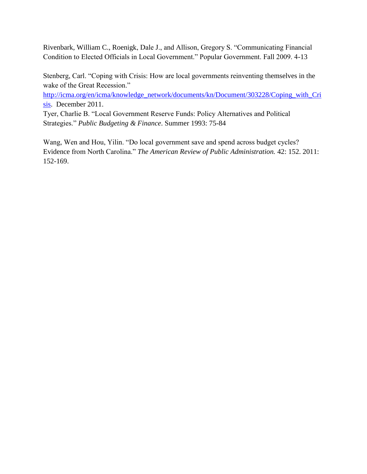Rivenbark, William C., Roenigk, Dale J., and Allison, Gregory S. "Communicating Financial Condition to Elected Officials in Local Government." Popular Government. Fall 2009. 4-13

Stenberg, Carl. "Coping with Crisis: How are local governments reinventing themselves in the wake of the Great Recession."

[http://icma.org/en/icma/knowledge\\_network/documents/kn/Document/303228/Coping\\_with\\_Cri](http://icma.org/en/icma/knowledge_network/documents/kn/Document/303228/Coping_with_Crisis) [sis.](http://icma.org/en/icma/knowledge_network/documents/kn/Document/303228/Coping_with_Crisis) December 2011.

Tyer, Charlie B. "Local Government Reserve Funds: Policy Alternatives and Political Strategies." *Public Budgeting & Finance*. Summer 1993: 75-84

Wang, Wen and Hou, Yilin. "Do local government save and spend across budget cycles? Evidence from North Carolina." *The American Review of Public Administration.* 42: 152. 2011: 152-169.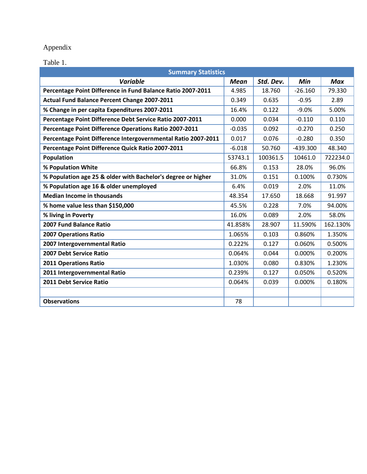# Appendix

Table 1.

| <b>Summary Statistics</b>                                     |          |           |            |            |
|---------------------------------------------------------------|----------|-----------|------------|------------|
| Variable                                                      | Mean     | Std. Dev. | Min        | <b>Max</b> |
| Percentage Point Difference in Fund Balance Ratio 2007-2011   | 4.985    | 18.760    | $-26.160$  | 79.330     |
| <b>Actual Fund Balance Percent Change 2007-2011</b>           | 0.349    | 0.635     | $-0.95$    | 2.89       |
| % Change in per capita Expenditures 2007-2011                 | 16.4%    | 0.122     | $-9.0%$    | 5.00%      |
| Percentage Point Difference Debt Service Ratio 2007-2011      | 0.000    | 0.034     | $-0.110$   | 0.110      |
| Percentage Point Difference Operations Ratio 2007-2011        | $-0.035$ | 0.092     | $-0.270$   | 0.250      |
| Percentage Point Difference Intergovernmental Ratio 2007-2011 | 0.017    | 0.076     | $-0.280$   | 0.350      |
| Percentage Point Difference Quick Ratio 2007-2011             | $-6.018$ | 50.760    | $-439.300$ | 48.340     |
| Population                                                    | 53743.1  | 100361.5  | 10461.0    | 722234.0   |
| % Population White                                            | 66.8%    | 0.153     | 28.0%      | 96.0%      |
| % Population age 25 & older with Bachelor's degree or higher  | 31.0%    | 0.151     | 0.100%     | 0.730%     |
| % Population age 16 & older unemployed                        | 6.4%     | 0.019     | 2.0%       | 11.0%      |
| <b>Median Income in thousands</b>                             | 48.354   | 17.650    | 18.668     | 91.997     |
| % home value less than \$150,000                              | 45.5%    | 0.228     | 7.0%       | 94.00%     |
| % living in Poverty                                           | 16.0%    | 0.089     | 2.0%       | 58.0%      |
| <b>2007 Fund Balance Ratio</b>                                | 41.858%  | 28.907    | 11.590%    | 162.130%   |
| <b>2007 Operations Ratio</b>                                  | 1.065%   | 0.103     | 0.860%     | 1.350%     |
| 2007 Intergovernmental Ratio                                  | 0.222%   | 0.127     | 0.060%     | 0.500%     |
| <b>2007 Debt Service Ratio</b>                                | 0.064%   | 0.044     | $0.000\%$  | 0.200%     |
| <b>2011 Operations Ratio</b>                                  | 1.030%   | 0.080     | 0.830%     | 1.230%     |
| 2011 Intergovernmental Ratio                                  | 0.239%   | 0.127     | 0.050%     | 0.520%     |
| 2011 Debt Service Ratio                                       | 0.064%   | 0.039     | 0.000%     | 0.180%     |
|                                                               |          |           |            |            |
| <b>Observations</b>                                           | 78       |           |            |            |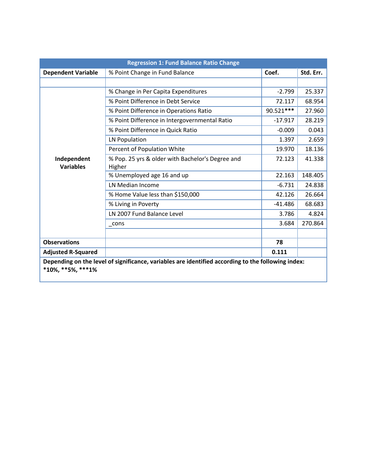| <b>Regression 1: Fund Balance Ratio Change</b>                                                     |                                                  |            |           |
|----------------------------------------------------------------------------------------------------|--------------------------------------------------|------------|-----------|
| <b>Dependent Variable</b>                                                                          | % Point Change in Fund Balance                   | Coef.      | Std. Err. |
|                                                                                                    |                                                  |            |           |
|                                                                                                    | % Change in Per Capita Expenditures              | $-2.799$   | 25.337    |
|                                                                                                    | % Point Difference in Debt Service               | 72.117     | 68.954    |
|                                                                                                    | % Point Difference in Operations Ratio           | 90.521 *** | 27.960    |
|                                                                                                    | % Point Difference in Intergovernmental Ratio    | $-17.917$  | 28.219    |
|                                                                                                    | % Point Difference in Quick Ratio                | $-0.009$   | 0.043     |
|                                                                                                    | <b>LN Population</b>                             | 1.397      | 2.659     |
|                                                                                                    | Percent of Population White                      | 19.970     | 18.136    |
| Independent                                                                                        | % Pop. 25 yrs & older with Bachelor's Degree and | 72.123     | 41.338    |
| <b>Variables</b>                                                                                   | Higher                                           |            |           |
|                                                                                                    | % Unemployed age 16 and up                       | 22.163     | 148.405   |
|                                                                                                    | LN Median Income                                 | $-6.731$   | 24.838    |
|                                                                                                    | % Home Value less than \$150,000                 | 42.126     | 26.664    |
|                                                                                                    | % Living in Poverty                              | $-41.486$  | 68.683    |
|                                                                                                    | LN 2007 Fund Balance Level                       | 3.786      | 4.824     |
|                                                                                                    | cons                                             | 3.684      | 270.864   |
|                                                                                                    |                                                  |            |           |
| <b>Observations</b>                                                                                |                                                  | 78         |           |
| <b>Adjusted R-Squared</b>                                                                          |                                                  | 0.111      |           |
| Depending on the level of significance, variables are identified according to the following index: |                                                  |            |           |
| $*10\%$ , $**5\%$ , $***1\%$                                                                       |                                                  |            |           |
|                                                                                                    |                                                  |            |           |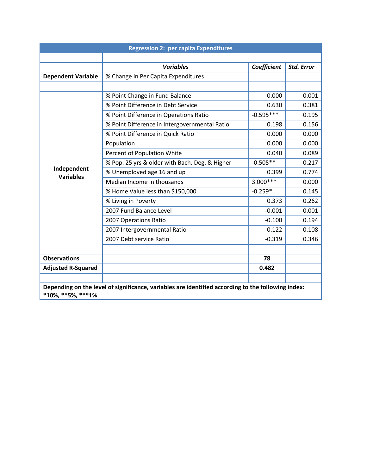| <b>Regression 2: per capita Expenditures</b>                                                                                      |                                                |             |                   |
|-----------------------------------------------------------------------------------------------------------------------------------|------------------------------------------------|-------------|-------------------|
|                                                                                                                                   |                                                |             |                   |
|                                                                                                                                   | <b>Variables</b>                               | Coefficient | <b>Std. Error</b> |
| <b>Dependent Variable</b>                                                                                                         | % Change in Per Capita Expenditures            |             |                   |
|                                                                                                                                   |                                                |             |                   |
|                                                                                                                                   | % Point Change in Fund Balance                 | 0.000       | 0.001             |
|                                                                                                                                   | % Point Difference in Debt Service             | 0.630       | 0.381             |
|                                                                                                                                   | % Point Difference in Operations Ratio         | $-0.595***$ | 0.195             |
|                                                                                                                                   | % Point Difference in Intergovernmental Ratio  | 0.198       | 0.156             |
|                                                                                                                                   | % Point Difference in Quick Ratio              | 0.000       | 0.000             |
|                                                                                                                                   | Population                                     | 0.000       | 0.000             |
|                                                                                                                                   | Percent of Population White                    | 0.040       | 0.089             |
|                                                                                                                                   | % Pop. 25 yrs & older with Bach. Deg. & Higher | $-0.505**$  | 0.217             |
| Independent<br><b>Variables</b>                                                                                                   | % Unemployed age 16 and up                     | 0.399       | 0.774             |
|                                                                                                                                   | Median Income in thousands                     | $3.000***$  | 0.000             |
|                                                                                                                                   | % Home Value less than \$150,000               | $-0.259*$   | 0.145             |
|                                                                                                                                   | % Living in Poverty                            | 0.373       | 0.262             |
|                                                                                                                                   | 2007 Fund Balance Level                        | $-0.001$    | 0.001             |
|                                                                                                                                   | 2007 Operations Ratio                          | $-0.100$    | 0.194             |
|                                                                                                                                   | 2007 Intergovernmental Ratio                   | 0.122       | 0.108             |
|                                                                                                                                   | 2007 Debt service Ratio                        | $-0.319$    | 0.346             |
|                                                                                                                                   |                                                |             |                   |
| <b>Observations</b>                                                                                                               |                                                | 78          |                   |
| <b>Adjusted R-Squared</b>                                                                                                         |                                                | 0.482       |                   |
|                                                                                                                                   |                                                |             |                   |
| Depending on the level of significance, variables are identified according to the following index:<br>$*10\%$ , $**5\%$ , $**1\%$ |                                                |             |                   |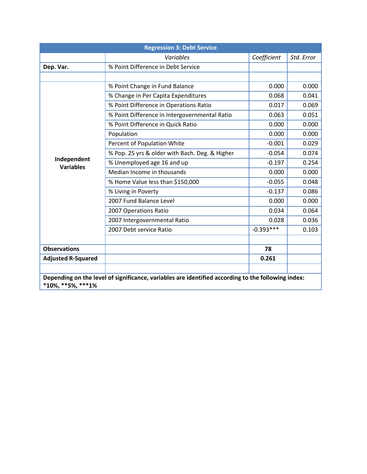| <b>Regression 3: Debt Service</b>                                                                                                 |                                                |             |            |
|-----------------------------------------------------------------------------------------------------------------------------------|------------------------------------------------|-------------|------------|
|                                                                                                                                   | Variables                                      | Coefficient | Std. Error |
| Dep. Var.                                                                                                                         | % Point Difference in Debt Service             |             |            |
|                                                                                                                                   |                                                |             |            |
|                                                                                                                                   | % Point Change in Fund Balance                 | 0.000       | 0.000      |
|                                                                                                                                   | % Change in Per Capita Expenditures            | 0.068       | 0.041      |
|                                                                                                                                   | % Point Difference in Operations Ratio         | 0.017       | 0.069      |
|                                                                                                                                   | % Point Difference in Intergovernmental Ratio  | 0.063       | 0.051      |
|                                                                                                                                   | % Point Difference in Quick Ratio              | 0.000       | 0.000      |
|                                                                                                                                   | Population                                     | 0.000       | 0.000      |
|                                                                                                                                   | Percent of Population White                    | $-0.001$    | 0.029      |
|                                                                                                                                   | % Pop. 25 yrs & older with Bach. Deg. & Higher | $-0.054$    | 0.074      |
| Independent<br><b>Variables</b>                                                                                                   | % Unemployed age 16 and up                     | $-0.197$    | 0.254      |
|                                                                                                                                   | Median Income in thousands                     | 0.000       | 0.000      |
|                                                                                                                                   | % Home Value less than \$150,000               | $-0.055$    | 0.048      |
|                                                                                                                                   | % Living in Poverty                            | $-0.137$    | 0.086      |
|                                                                                                                                   | 2007 Fund Balance Level                        | 0.000       | 0.000      |
|                                                                                                                                   | 2007 Operations Ratio                          | 0.034       | 0.064      |
|                                                                                                                                   | 2007 Intergovernmental Ratio                   | 0.028       | 0.036      |
|                                                                                                                                   | 2007 Debt service Ratio                        | $-0.393***$ | 0.103      |
|                                                                                                                                   |                                                |             |            |
| <b>Observations</b>                                                                                                               |                                                | 78          |            |
| <b>Adjusted R-Squared</b>                                                                                                         |                                                | 0.261       |            |
|                                                                                                                                   |                                                |             |            |
| Depending on the level of significance, variables are identified according to the following index:<br>$*10\%$ , $**5\%$ , $**1\%$ |                                                |             |            |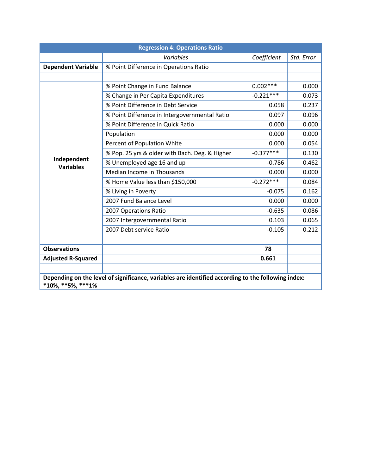| <b>Regression 4: Operations Ratio</b>                                                                                             |                                                |             |            |
|-----------------------------------------------------------------------------------------------------------------------------------|------------------------------------------------|-------------|------------|
|                                                                                                                                   | Variables                                      | Coefficient | Std. Error |
| <b>Dependent Variable</b>                                                                                                         | % Point Difference in Operations Ratio         |             |            |
|                                                                                                                                   |                                                |             |            |
|                                                                                                                                   | % Point Change in Fund Balance                 | $0.002***$  | 0.000      |
|                                                                                                                                   | % Change in Per Capita Expenditures            | $-0.221***$ | 0.073      |
|                                                                                                                                   | % Point Difference in Debt Service             | 0.058       | 0.237      |
|                                                                                                                                   | % Point Difference in Intergovernmental Ratio  | 0.097       | 0.096      |
|                                                                                                                                   | % Point Difference in Quick Ratio              | 0.000       | 0.000      |
|                                                                                                                                   | Population                                     | 0.000       | 0.000      |
|                                                                                                                                   | Percent of Population White                    | 0.000       | 0.054      |
|                                                                                                                                   | % Pop. 25 yrs & older with Bach. Deg. & Higher | $-0.377***$ | 0.130      |
| Independent<br><b>Variables</b>                                                                                                   | % Unemployed age 16 and up                     | $-0.786$    | 0.462      |
|                                                                                                                                   | Median Income in Thousands                     | 0.000       | 0.000      |
|                                                                                                                                   | % Home Value less than \$150,000               | $-0.272***$ | 0.084      |
|                                                                                                                                   | % Living in Poverty                            | $-0.075$    | 0.162      |
|                                                                                                                                   | 2007 Fund Balance Level                        | 0.000       | 0.000      |
|                                                                                                                                   | 2007 Operations Ratio                          | $-0.635$    | 0.086      |
|                                                                                                                                   | 2007 Intergovernmental Ratio                   | 0.103       | 0.065      |
|                                                                                                                                   | 2007 Debt service Ratio                        | $-0.105$    | 0.212      |
|                                                                                                                                   |                                                |             |            |
| <b>Observations</b>                                                                                                               |                                                | 78          |            |
| <b>Adjusted R-Squared</b>                                                                                                         |                                                | 0.661       |            |
|                                                                                                                                   |                                                |             |            |
| Depending on the level of significance, variables are identified according to the following index:<br>$*10\%$ , $**5\%$ , $**1\%$ |                                                |             |            |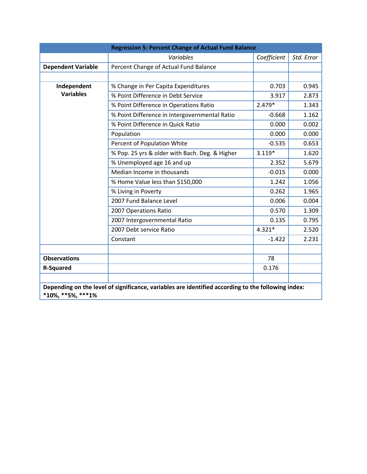|                              | <b>Regression 5: Percent Change of Actual Fund Balance</b>                                         |             |            |
|------------------------------|----------------------------------------------------------------------------------------------------|-------------|------------|
|                              | Variables                                                                                          | Coefficient | Std. Error |
| <b>Dependent Variable</b>    | Percent Change of Actual Fund Balance                                                              |             |            |
|                              |                                                                                                    |             |            |
| Independent                  | % Change in Per Capita Expenditures                                                                | 0.703       | 0.945      |
| <b>Variables</b>             | % Point Difference in Debt Service                                                                 | 3.917       | 2.873      |
|                              | % Point Difference in Operations Ratio                                                             | $2.479*$    | 1.343      |
|                              | % Point Difference in Intergovernmental Ratio                                                      | $-0.668$    | 1.162      |
|                              | % Point Difference in Quick Ratio                                                                  | 0.000       | 0.002      |
|                              | Population                                                                                         | 0.000       | 0.000      |
|                              | Percent of Population White                                                                        | $-0.535$    | 0.653      |
|                              | % Pop. 25 yrs & older with Bach. Deg. & Higher                                                     | $3.119*$    | 1.620      |
|                              | % Unemployed age 16 and up                                                                         | 2.352       | 5.679      |
|                              | Median Income in thousands                                                                         | $-0.015$    | 0.000      |
|                              | % Home Value less than \$150,000                                                                   | 1.242       | 1.056      |
|                              | % Living in Poverty                                                                                | 0.262       | 1.965      |
|                              | 2007 Fund Balance Level                                                                            | 0.006       | 0.004      |
|                              | 2007 Operations Ratio                                                                              | 0.570       | 1.309      |
|                              | 2007 Intergovernmental Ratio                                                                       | 0.135       | 0.795      |
|                              | 2007 Debt service Ratio                                                                            | $4.321*$    | 2.520      |
|                              | Constant                                                                                           | $-1.422$    | 2.231      |
|                              |                                                                                                    |             |            |
| <b>Observations</b>          |                                                                                                    | 78          |            |
| <b>R-Squared</b>             |                                                                                                    | 0.176       |            |
|                              |                                                                                                    |             |            |
| $*10\%$ , $**5\%$ , $***1\%$ | Depending on the level of significance, variables are identified according to the following index: |             |            |